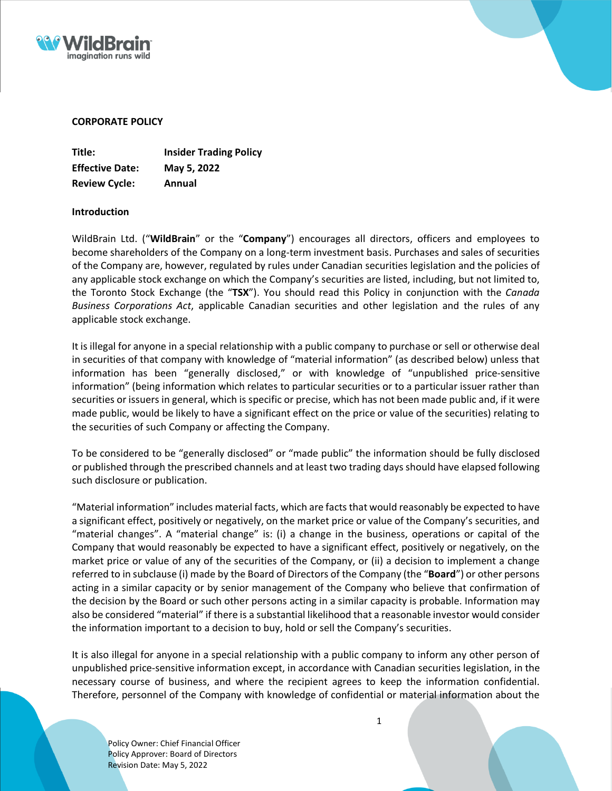



# **CORPORATE POLICY**

| Title:                 | <b>Insider Trading Policy</b> |
|------------------------|-------------------------------|
| <b>Effective Date:</b> | May 5, 2022                   |
| <b>Review Cycle:</b>   | Annual                        |

# **Introduction**

WildBrain Ltd. ("**WildBrain**" or the "**Company**") encourages all directors, officers and employees to become shareholders of the Company on a long-term investment basis. Purchases and sales of securities of the Company are, however, regulated by rules under Canadian securities legislation and the policies of any applicable stock exchange on which the Company's securities are listed, including, but not limited to, the Toronto Stock Exchange (the "**TSX**"). You should read this Policy in conjunction with the *Canada Business Corporations Act*, applicable Canadian securities and other legislation and the rules of any applicable stock exchange.

It is illegal for anyone in a special relationship with a public company to purchase or sell or otherwise deal in securities of that company with knowledge of "material information" (as described below) unless that information has been "generally disclosed," or with knowledge of "unpublished price-sensitive information" (being information which relates to particular securities or to a particular issuer rather than securities or issuers in general, which is specific or precise, which has not been made public and, if it were made public, would be likely to have a significant effect on the price or value of the securities) relating to the securities of such Company or affecting the Company.

To be considered to be "generally disclosed" or "made public" the information should be fully disclosed or published through the prescribed channels and at least two trading daysshould have elapsed following such disclosure or publication.

"Material information" includes material facts, which are facts that would reasonably be expected to have a significant effect, positively or negatively, on the market price or value of the Company's securities, and "material changes". A "material change" is: (i) a change in the business, operations or capital of the Company that would reasonably be expected to have a significant effect, positively or negatively, on the market price or value of any of the securities of the Company, or (ii) a decision to implement a change referred to in subclause (i) made by the Board of Directors of the Company (the "**Board**") or other persons acting in a similar capacity or by senior management of the Company who believe that confirmation of the decision by the Board or such other persons acting in a similar capacity is probable. Information may also be considered "material" if there is a substantial likelihood that a reasonable investor would consider the information important to a decision to buy, hold or sell the Company's securities.

It is also illegal for anyone in a special relationship with a public company to inform any other person of unpublished price-sensitive information except, in accordance with Canadian securities legislation, in the necessary course of business, and where the recipient agrees to keep the information confidential. Therefore, personnel of the Company with knowledge of confidential or material information about the

Policy Owner: Chief Financial Officer Policy Approver: Board of Directors Revision Date: May 5, 2022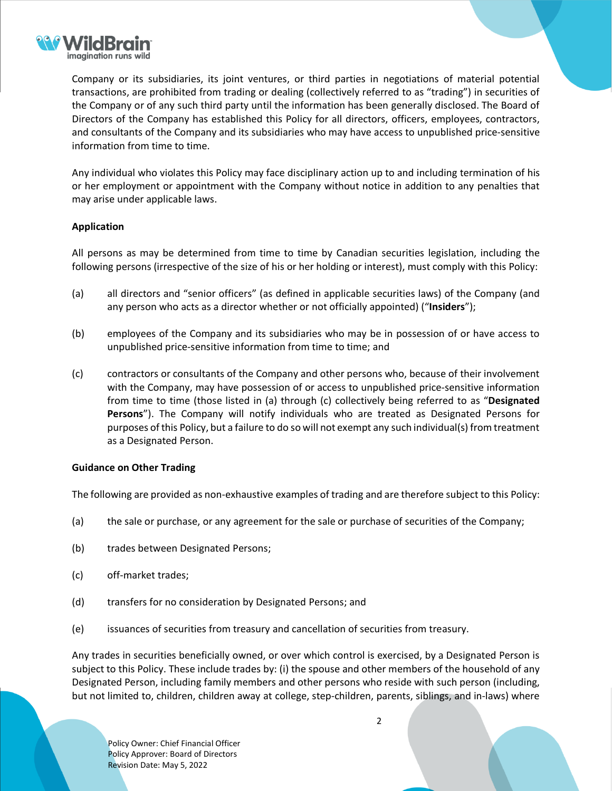

Company or its subsidiaries, its joint ventures, or third parties in negotiations of material potential transactions, are prohibited from trading or dealing (collectively referred to as "trading") in securities of the Company or of any such third party until the information has been generally disclosed. The Board of Directors of the Company has established this Policy for all directors, officers, employees, contractors, and consultants of the Company and its subsidiaries who may have access to unpublished price-sensitive information from time to time.

Any individual who violates this Policy may face disciplinary action up to and including termination of his or her employment or appointment with the Company without notice in addition to any penalties that may arise under applicable laws.

# **Application**

All persons as may be determined from time to time by Canadian securities legislation, including the following persons (irrespective of the size of his or her holding or interest), must comply with this Policy:

- (a) all directors and "senior officers" (as defined in applicable securities laws) of the Company (and any person who acts as a director whether or not officially appointed) ("**Insiders**");
- (b) employees of the Company and its subsidiaries who may be in possession of or have access to unpublished price-sensitive information from time to time; and
- (c) contractors or consultants of the Company and other persons who, because of their involvement with the Company, may have possession of or access to unpublished price-sensitive information from time to time (those listed in (a) through (c) collectively being referred to as "**Designated Persons**"). The Company will notify individuals who are treated as Designated Persons for purposes of this Policy, but a failure to do so will not exempt any such individual(s) from treatment as a Designated Person.

# **Guidance on Other Trading**

The following are provided as non-exhaustive examples of trading and are therefore subject to this Policy:

- (a) the sale or purchase, or any agreement for the sale or purchase of securities of the Company;
- (b) trades between Designated Persons;
- (c) off-market trades;
- (d) transfers for no consideration by Designated Persons; and
- (e) issuances of securities from treasury and cancellation of securities from treasury.

Any trades in securities beneficially owned, or over which control is exercised, by a Designated Person is subject to this Policy. These include trades by: (i) the spouse and other members of the household of any Designated Person, including family members and other persons who reside with such person (including, but not limited to, children, children away at college, step-children, parents, siblings, and in-laws) where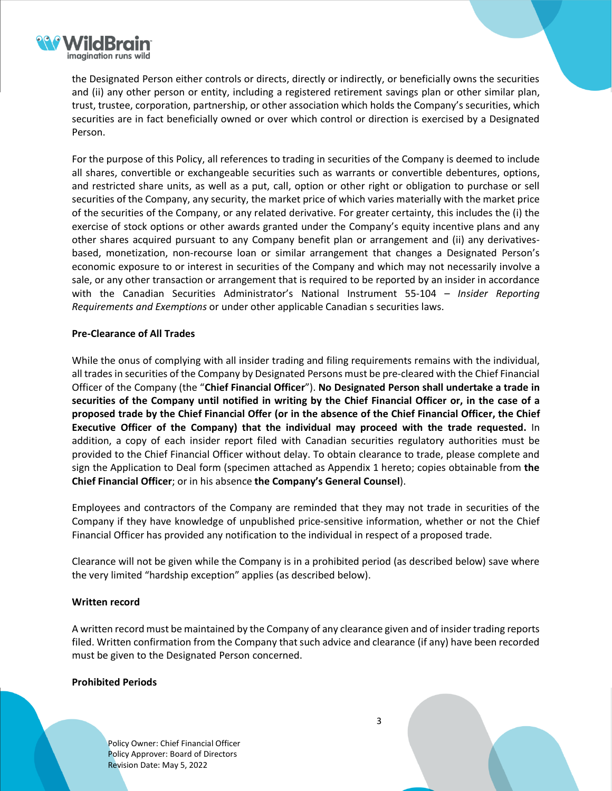

the Designated Person either controls or directs, directly or indirectly, or beneficially owns the securities and (ii) any other person or entity, including a registered retirement savings plan or other similar plan, trust, trustee, corporation, partnership, or other association which holds the Company's securities, which securities are in fact beneficially owned or over which control or direction is exercised by a Designated Person.

For the purpose of this Policy, all references to trading in securities of the Company is deemed to include all shares, convertible or exchangeable securities such as warrants or convertible debentures, options, and restricted share units, as well as a put, call, option or other right or obligation to purchase or sell securities of the Company, any security, the market price of which varies materially with the market price of the securities of the Company, or any related derivative. For greater certainty, this includes the (i) the exercise of stock options or other awards granted under the Company's equity incentive plans and any other shares acquired pursuant to any Company benefit plan or arrangement and (ii) any derivativesbased, monetization, non-recourse loan or similar arrangement that changes a Designated Person's economic exposure to or interest in securities of the Company and which may not necessarily involve a sale, or any other transaction or arrangement that is required to be reported by an insider in accordance with the Canadian Securities Administrator's National Instrument 55-104 – *Insider Reporting Requirements and Exemptions* or under other applicable Canadian s securities laws.

# **Pre-Clearance of All Trades**

While the onus of complying with all insider trading and filing requirements remains with the individual, all tradesin securities of the Company by Designated Persons must be pre-cleared with the Chief Financial Officer of the Company (the "**Chief Financial Officer**"). **No Designated Person shall undertake a trade in** securities of the Company until notified in writing by the Chief Financial Officer or, in the case of a proposed trade by the Chief Financial Offer (or in the absence of the Chief Financial Officer, the Chief **Executive Officer of the Company) that the individual may proceed with the trade requested.** In addition, a copy of each insider report filed with Canadian securities regulatory authorities must be provided to the Chief Financial Officer without delay. To obtain clearance to trade, please complete and sign the Application to Deal form (specimen attached as Appendix 1 hereto; copies obtainable from **the Chief Financial Officer**; or in his absence **the Company's General Counsel**).

Employees and contractors of the Company are reminded that they may not trade in securities of the Company if they have knowledge of unpublished price-sensitive information, whether or not the Chief Financial Officer has provided any notification to the individual in respect of a proposed trade.

Clearance will not be given while the Company is in a prohibited period (as described below) save where the very limited "hardship exception" applies (as described below).

# **Written record**

A written record must be maintained by the Company of any clearance given and of insider trading reports filed. Written confirmation from the Company that such advice and clearance (if any) have been recorded must be given to the Designated Person concerned.

3

#### **Prohibited Periods**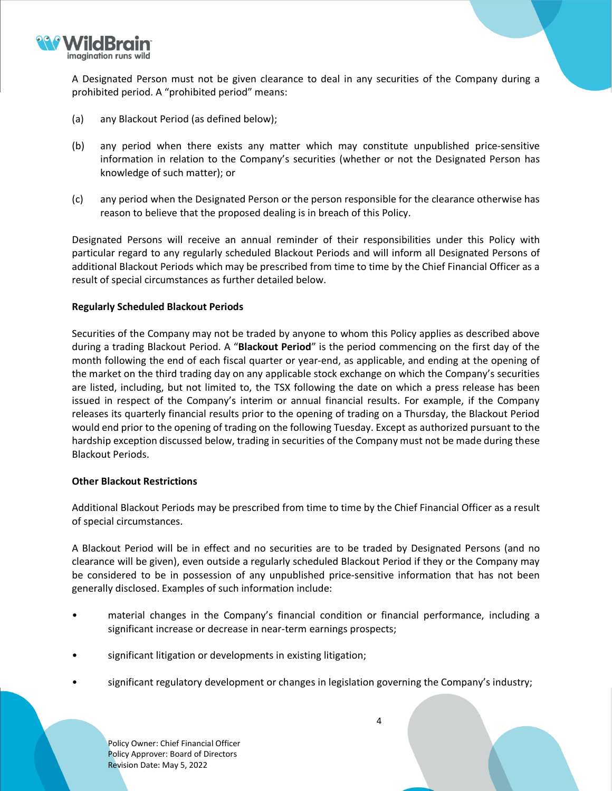

A Designated Person must not be given clearance to deal in any securities of the Company during a prohibited period. A "prohibited period" means:

- (a) any Blackout Period (as defined below);
- (b) any period when there exists any matter which may constitute unpublished price-sensitive information in relation to the Company's securities (whether or not the Designated Person has knowledge of such matter); or
- (c) any period when the Designated Person or the person responsible for the clearance otherwise has reason to believe that the proposed dealing is in breach of this Policy.

Designated Persons will receive an annual reminder of their responsibilities under this Policy with particular regard to any regularly scheduled Blackout Periods and will inform all Designated Persons of additional Blackout Periods which may be prescribed from time to time by the Chief Financial Officer as a result of special circumstances as further detailed below.

# **Regularly Scheduled Blackout Periods**

Securities of the Company may not be traded by anyone to whom this Policy applies as described above during a trading Blackout Period. A "**Blackout Period**" is the period commencing on the first day of the month following the end of each fiscal quarter or year-end, as applicable, and ending at the opening of the market on the third trading day on any applicable stock exchange on which the Company's securities are listed, including, but not limited to, the TSX following the date on which a press release has been issued in respect of the Company's interim or annual financial results. For example, if the Company releases its quarterly financial results prior to the opening of trading on a Thursday, the Blackout Period would end prior to the opening of trading on the following Tuesday. Except as authorized pursuant to the hardship exception discussed below, trading in securities of the Company must not be made during these Blackout Periods.

# **Other Blackout Restrictions**

Additional Blackout Periods may be prescribed from time to time by the Chief Financial Officer as a result of special circumstances.

A Blackout Period will be in effect and no securities are to be traded by Designated Persons (and no clearance will be given), even outside a regularly scheduled Blackout Period if they or the Company may be considered to be in possession of any unpublished price-sensitive information that has not been generally disclosed. Examples of such information include:

- material changes in the Company's financial condition or financial performance, including a significant increase or decrease in near-term earnings prospects;
- significant litigation or developments in existing litigation;
- significant regulatory development or changes in legislation governing the Company's industry;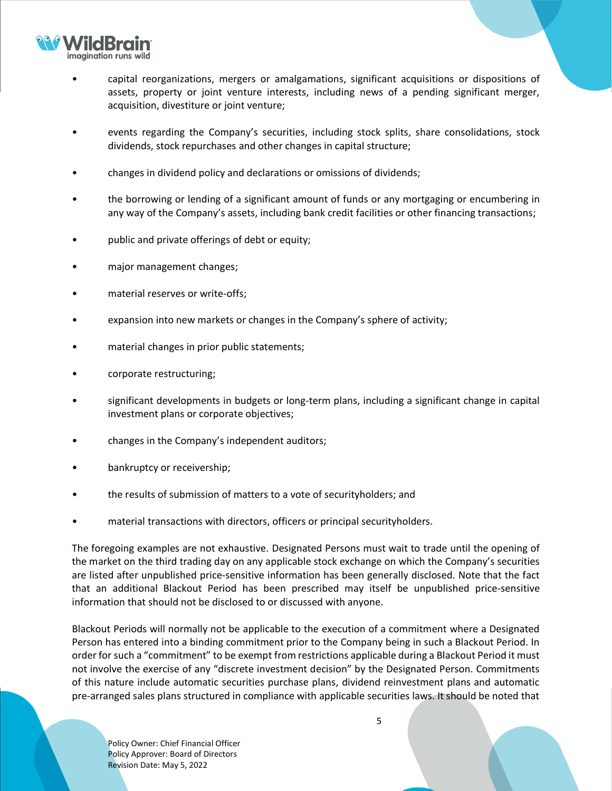

- capital reorganizations, mergers or amalgamations, significant acquisitions or dispositions of assets, property or joint venture interests, including news of a pending significant merger, acquisition, divestiture or joint venture;
- events regarding the Company's securities, including stock splits, share consolidations, stock dividends, stock repurchases and other changes in capital structure;
- changes in dividend policy and declarations or omissions of dividends;
- the borrowing or lending of a significant amount of funds or any mortgaging or encumbering in any way of the Company's assets, including bank credit facilities or other financing transactions;
- public and private offerings of debt or equity;
- major management changes;
- material reserves or write-offs;
- expansion into new markets or changes in the Company's sphere of activity;
- material changes in prior public statements;
- corporate restructuring;
- significant developments in budgets or long-term plans, including a significant change in capital investment plans or corporate objectives;
- changes in the Company's independent auditors;
- bankruptcy or receivership;
- the results of submission of matters to a vote of securityholders; and
- material transactions with directors, officers or principal securityholders.

The foregoing examples are not exhaustive. Designated Persons must wait to trade until the opening of the market on the third trading day on any applicable stock exchange on which the Company's securities are listed after unpublished price-sensitive information has been generally disclosed. Note that the fact that an additional Blackout Period has been prescribed may itself be unpublished price-sensitive information that should not be disclosed to or discussed with anyone.

Blackout Periods will normally not be applicable to the execution of a commitment where a Designated Person has entered into a binding commitment prior to the Company being in such a Blackout Period. In order for such a "commitment" to be exempt from restrictions applicable during a Blackout Period it must not involve the exercise of any "discrete investment decision" by the Designated Person. Commitments of this nature include automatic securities purchase plans, dividend reinvestment plans and automatic pre-arranged sales plans structured in compliance with applicable securities laws. It should be noted that

Policy Owner: Chief Financial Officer Policy Approver: Board of Directors Revision Date: May 5, 2022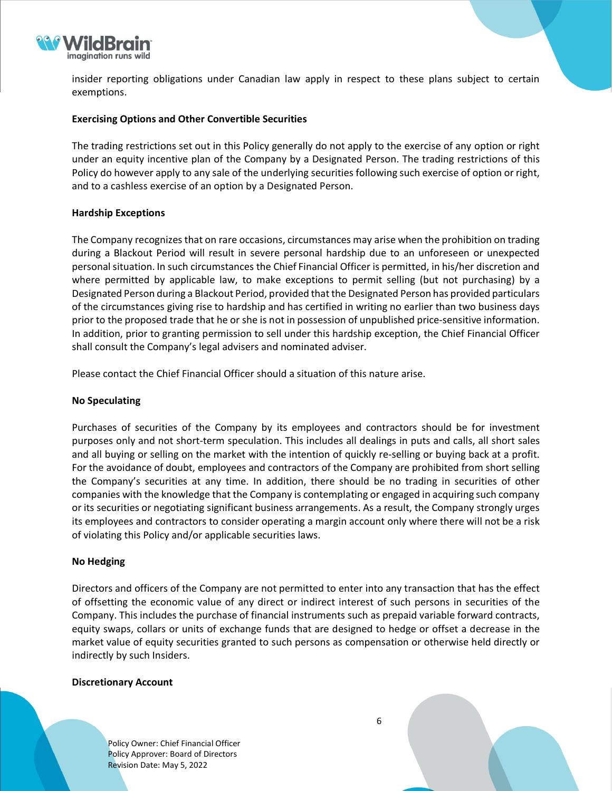

insider reporting obligations under Canadian law apply in respect to these plans subject to certain exemptions.

### **Exercising Options and Other Convertible Securities**

The trading restrictions set out in this Policy generally do not apply to the exercise of any option or right under an equity incentive plan of the Company by a Designated Person. The trading restrictions of this Policy do however apply to any sale of the underlying securities following such exercise of option or right, and to a cashless exercise of an option by a Designated Person.

### **Hardship Exceptions**

The Company recognizes that on rare occasions, circumstances may arise when the prohibition on trading during a Blackout Period will result in severe personal hardship due to an unforeseen or unexpected personalsituation. In such circumstances the Chief Financial Officer is permitted, in his/her discretion and where permitted by applicable law, to make exceptions to permit selling (but not purchasing) by a Designated Person during a Blackout Period, provided that the Designated Person has provided particulars of the circumstances giving rise to hardship and has certified in writing no earlier than two business days prior to the proposed trade that he or she is not in possession of unpublished price-sensitive information. In addition, prior to granting permission to sell under this hardship exception, the Chief Financial Officer shall consult the Company's legal advisers and nominated adviser.

Please contact the Chief Financial Officer should a situation of this nature arise.

### **No Speculating**

Purchases of securities of the Company by its employees and contractors should be for investment purposes only and not short-term speculation. This includes all dealings in puts and calls, all short sales and all buying or selling on the market with the intention of quickly re-selling or buying back at a profit. For the avoidance of doubt, employees and contractors of the Company are prohibited from short selling the Company's securities at any time. In addition, there should be no trading in securities of other companies with the knowledge that the Company is contemplating or engaged in acquiring such company or its securities or negotiating significant business arrangements. As a result, the Company strongly urges its employees and contractors to consider operating a margin account only where there will not be a risk of violating this Policy and/or applicable securities laws.

#### **No Hedging**

Directors and officers of the Company are not permitted to enter into any transaction that has the effect of offsetting the economic value of any direct or indirect interest of such persons in securities of the Company. This includes the purchase of financial instruments such as prepaid variable forward contracts, equity swaps, collars or units of exchange funds that are designed to hedge or offset a decrease in the market value of equity securities granted to such persons as compensation or otherwise held directly or indirectly by such Insiders.

#### **Discretionary Account**

Policy Owner: Chief Financial Officer Policy Approver: Board of Directors Revision Date: May 5, 2022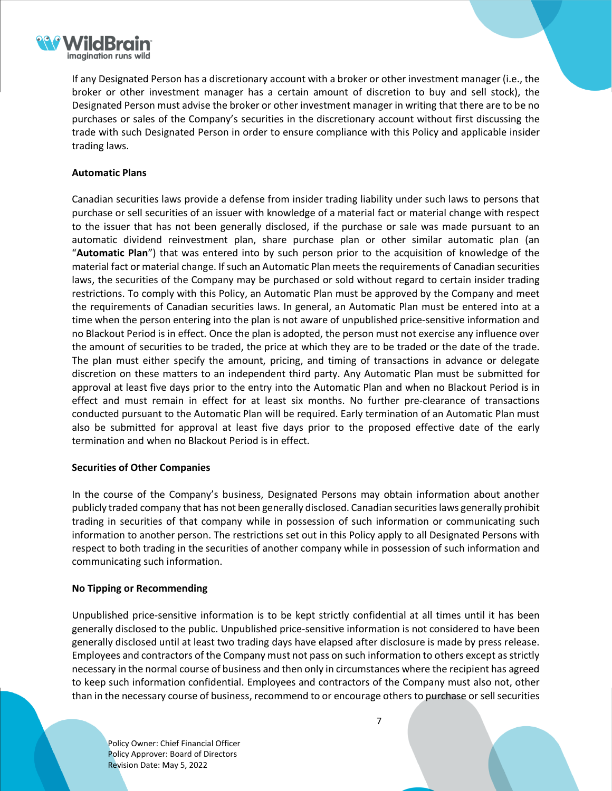

If any Designated Person has a discretionary account with a broker or other investment manager (i.e., the broker or other investment manager has a certain amount of discretion to buy and sell stock), the Designated Person must advise the broker or other investment manager in writing that there are to be no purchases or sales of the Company's securities in the discretionary account without first discussing the trade with such Designated Person in order to ensure compliance with this Policy and applicable insider trading laws.

# **Automatic Plans**

Canadian securities laws provide a defense from insider trading liability under such laws to persons that purchase or sell securities of an issuer with knowledge of a material fact or material change with respect to the issuer that has not been generally disclosed, if the purchase or sale was made pursuant to an automatic dividend reinvestment plan, share purchase plan or other similar automatic plan (an "**Automatic Plan**") that was entered into by such person prior to the acquisition of knowledge of the material fact or material change. If such an Automatic Plan meets the requirements of Canadian securities laws, the securities of the Company may be purchased or sold without regard to certain insider trading restrictions. To comply with this Policy, an Automatic Plan must be approved by the Company and meet the requirements of Canadian securities laws. In general, an Automatic Plan must be entered into at a time when the person entering into the plan is not aware of unpublished price-sensitive information and no Blackout Period is in effect. Once the plan is adopted, the person must not exercise any influence over the amount of securities to be traded, the price at which they are to be traded or the date of the trade. The plan must either specify the amount, pricing, and timing of transactions in advance or delegate discretion on these matters to an independent third party. Any Automatic Plan must be submitted for approval at least five days prior to the entry into the Automatic Plan and when no Blackout Period is in effect and must remain in effect for at least six months. No further pre-clearance of transactions conducted pursuant to the Automatic Plan will be required. Early termination of an Automatic Plan must also be submitted for approval at least five days prior to the proposed effective date of the early termination and when no Blackout Period is in effect.

#### **Securities of Other Companies**

In the course of the Company's business, Designated Persons may obtain information about another publicly traded company that has not been generally disclosed. Canadian securitieslaws generally prohibit trading in securities of that company while in possession of such information or communicating such information to another person. The restrictions set out in this Policy apply to all Designated Persons with respect to both trading in the securities of another company while in possession of such information and communicating such information.

# **No Tipping or Recommending**

Unpublished price-sensitive information is to be kept strictly confidential at all times until it has been generally disclosed to the public. Unpublished price-sensitive information is not considered to have been generally disclosed until at least two trading days have elapsed after disclosure is made by press release. Employees and contractors of the Company must not pass on such information to others except asstrictly necessary in the normal course of business and then only in circumstances where the recipient has agreed to keep such information confidential. Employees and contractors of the Company must also not, other than in the necessary course of business, recommend to or encourage others to purchase or sellsecurities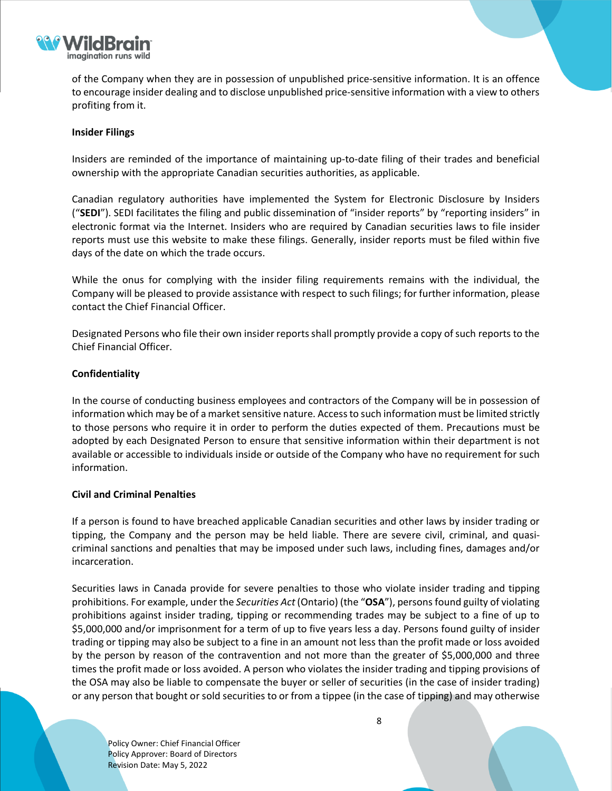

of the Company when they are in possession of unpublished price-sensitive information. It is an offence to encourage insider dealing and to disclose unpublished price-sensitive information with a view to others profiting from it.

### **Insider Filings**

Insiders are reminded of the importance of maintaining up-to-date filing of their trades and beneficial ownership with the appropriate Canadian securities authorities, as applicable.

Canadian regulatory authorities have implemented the System for Electronic Disclosure by Insiders ("**SEDI**"). SEDI facilitates the filing and public dissemination of "insider reports" by "reporting insiders" in electronic format via the Internet. Insiders who are required by Canadian securities laws to file insider reports must use this website to make these filings. Generally, insider reports must be filed within five days of the date on which the trade occurs.

While the onus for complying with the insider filing requirements remains with the individual, the Company will be pleased to provide assistance with respect to such filings; for further information, please contact the Chief Financial Officer.

Designated Persons who file their own insider reports shall promptly provide a copy of such reports to the Chief Financial Officer.

### **Confidentiality**

In the course of conducting business employees and contractors of the Company will be in possession of information which may be of a market sensitive nature. Access to such information must be limited strictly to those persons who require it in order to perform the duties expected of them. Precautions must be adopted by each Designated Person to ensure that sensitive information within their department is not available or accessible to individuals inside or outside of the Company who have no requirement for such information.

#### **Civil and Criminal Penalties**

If a person is found to have breached applicable Canadian securities and other laws by insider trading or tipping, the Company and the person may be held liable. There are severe civil, criminal, and quasicriminal sanctions and penalties that may be imposed under such laws, including fines, damages and/or incarceration.

Securities laws in Canada provide for severe penalties to those who violate insider trading and tipping prohibitions. For example, under the *Securities Act* (Ontario) (the "**OSA**"), personsfound guilty of violating prohibitions against insider trading, tipping or recommending trades may be subject to a fine of up to \$5,000,000 and/or imprisonment for a term of up to five years less a day. Persons found guilty of insider trading or tipping may also be subject to a fine in an amount not less than the profit made or loss avoided by the person by reason of the contravention and not more than the greater of \$5,000,000 and three times the profit made or loss avoided. A person who violates the insider trading and tipping provisions of the OSA may also be liable to compensate the buyer or seller of securities (in the case of insider trading) or any person that bought or sold securities to or from a tippee (in the case of tipping) and may otherwise

Policy Owner: Chief Financial Officer Policy Approver: Board of Directors Revision Date: May 5, 2022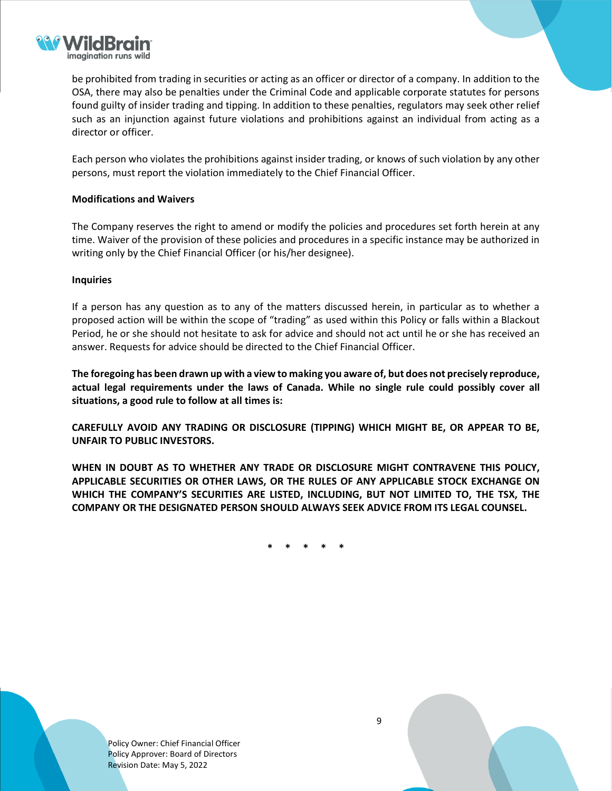

be prohibited from trading in securities or acting as an officer or director of a company. In addition to the OSA, there may also be penalties under the Criminal Code and applicable corporate statutes for persons found guilty of insider trading and tipping. In addition to these penalties, regulators may seek other relief such as an injunction against future violations and prohibitions against an individual from acting as a director or officer.

Each person who violates the prohibitions against insider trading, or knows of such violation by any other persons, must report the violation immediately to the Chief Financial Officer.

# **Modifications and Waivers**

The Company reserves the right to amend or modify the policies and procedures set forth herein at any time. Waiver of the provision of these policies and procedures in a specific instance may be authorized in writing only by the Chief Financial Officer (or his/her designee).

#### **Inquiries**

If a person has any question as to any of the matters discussed herein, in particular as to whether a proposed action will be within the scope of "trading" as used within this Policy or falls within a Blackout Period, he or she should not hesitate to ask for advice and should not act until he or she has received an answer. Requests for advice should be directed to the Chief Financial Officer.

The foregoing has been drawn up with a view to making you aware of, but does not precisely reproduce, **actual legal requirements under the laws of Canada. While no single rule could possibly cover all situations, a good rule to follow at all times is:**

**CAREFULLY AVOID ANY TRADING OR DISCLOSURE (TIPPING) WHICH MIGHT BE, OR APPEAR TO BE, UNFAIR TO PUBLIC INVESTORS.**

**WHEN IN DOUBT AS TO WHETHER ANY TRADE OR DISCLOSURE MIGHT CONTRAVENE THIS POLICY, APPLICABLE SECURITIES OR OTHER LAWS, OR THE RULES OF ANY APPLICABLE STOCK EXCHANGE ON WHICH THE COMPANY'S SECURITIES ARE LISTED, INCLUDING, BUT NOT LIMITED TO, THE TSX, THE COMPANY OR THE DESIGNATED PERSON SHOULD ALWAYS SEEK ADVICE FROM ITS LEGAL COUNSEL.**

**\* \* \* \* \***